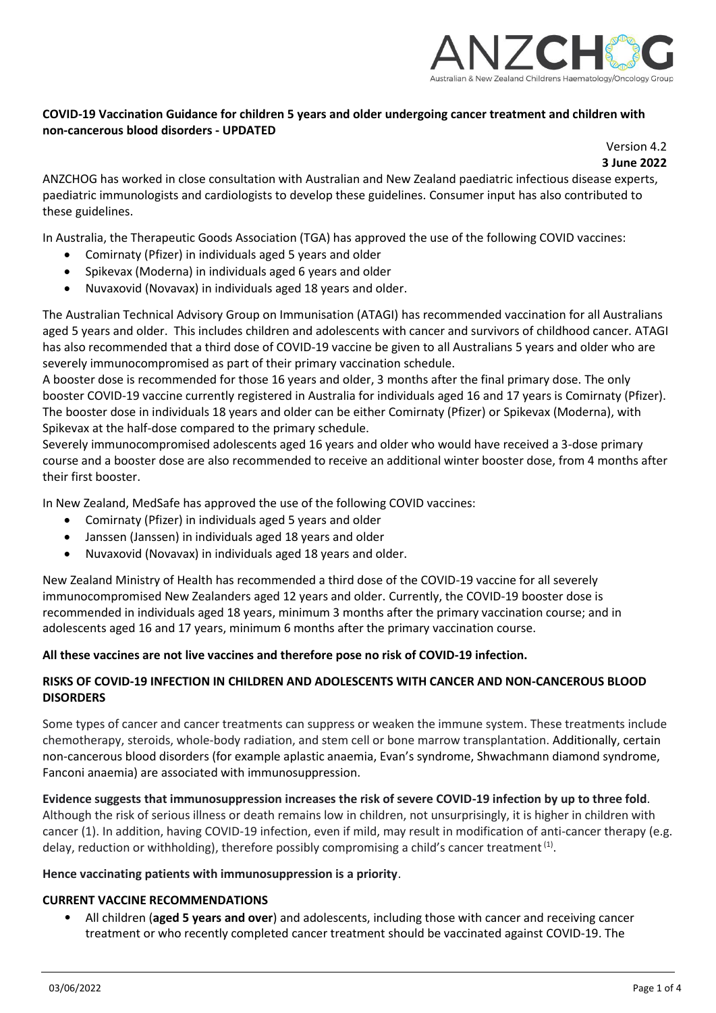

# **COVID-19 Vaccination Guidance for children 5 years and older undergoing cancer treatment and children with non-cancerous blood disorders - UPDATED**

Version 4.2 **3 June 2022**

ANZCHOG has worked in close consultation with Australian and New Zealand paediatric infectious disease experts, paediatric immunologists and cardiologists to develop these guidelines. Consumer input has also contributed to these guidelines.

In Australia, the Therapeutic Goods Association (TGA) has approved the use of the following COVID vaccines:

- Comirnaty (Pfizer) in individuals aged 5 years and older
- Spikevax (Moderna) in individuals aged 6 years and older
- Nuvaxovid (Novavax) in individuals aged 18 years and older.

The Australian Technical Advisory Group on Immunisation (ATAGI) has recommended vaccination for all Australians aged 5 years and older. This includes children and adolescents with cancer and survivors of childhood cancer. ATAGI has also recommended that a third dose of COVID-19 vaccine be given to all Australians 5 years and older who are severely immunocompromised as part of their primary vaccination schedule.

A booster dose is recommended for those 16 years and older, 3 months after the final primary dose. The only booster COVID-19 vaccine currently registered in Australia for individuals aged 16 and 17 years is Comirnaty (Pfizer). The booster dose in individuals 18 years and older can be either Comirnaty (Pfizer) or Spikevax (Moderna), with Spikevax at the half-dose compared to the primary schedule.

Severely immunocompromised adolescents aged 16 years and older who would have received a 3-dose primary course and a booster dose are also recommended to receive an additional winter booster dose, from 4 months after their first booster.

In New Zealand, MedSafe has approved the use of the following COVID vaccines:

- Comirnaty (Pfizer) in individuals aged 5 years and older
- Janssen (Janssen) in individuals aged 18 years and older
- Nuvaxovid (Novavax) in individuals aged 18 years and older.

New Zealand Ministry of Health has recommended a third dose of the COVID-19 vaccine for all severely immunocompromised New Zealanders aged 12 years and older. Currently, the COVID-19 booster dose is recommended in individuals aged 18 years, minimum 3 months after the primary vaccination course; and in adolescents aged 16 and 17 years, minimum 6 months after the primary vaccination course.

#### **All these vaccines are not live vaccines and therefore pose no risk of COVID-19 infection.**

## **RISKS OF COVID-19 INFECTION IN CHILDREN AND ADOLESCENTS WITH CANCER AND NON-CANCEROUS BLOOD DISORDERS**

Some types of cancer and cancer treatments can suppress or weaken the immune system. These treatments include chemotherapy, steroids, whole-body radiation, and stem cell or bone marrow transplantation. Additionally, certain non-cancerous blood disorders (for example aplastic anaemia, Evan's syndrome, Shwachmann diamond syndrome, Fanconi anaemia) are associated with immunosuppression.

**Evidence suggests that immunosuppression increases the risk of severe COVID-19 infection by up to three fold**. Although the risk of serious illness or death remains low in children, not unsurprisingly, it is higher in children with cancer (1). In addition, having COVID-19 infection, even if mild, may result in modification of anti-cancer therapy (e.g. delay, reduction or withholding), therefore possibly compromising a child's cancer treatment  $^{(1)}$ .

#### **Hence vaccinating patients with immunosuppression is a priority**.

#### **CURRENT VACCINE RECOMMENDATIONS**

• All children (**aged 5 years and over**) and adolescents, including those with cancer and receiving cancer treatment or who recently completed cancer treatment should be vaccinated against COVID-19. The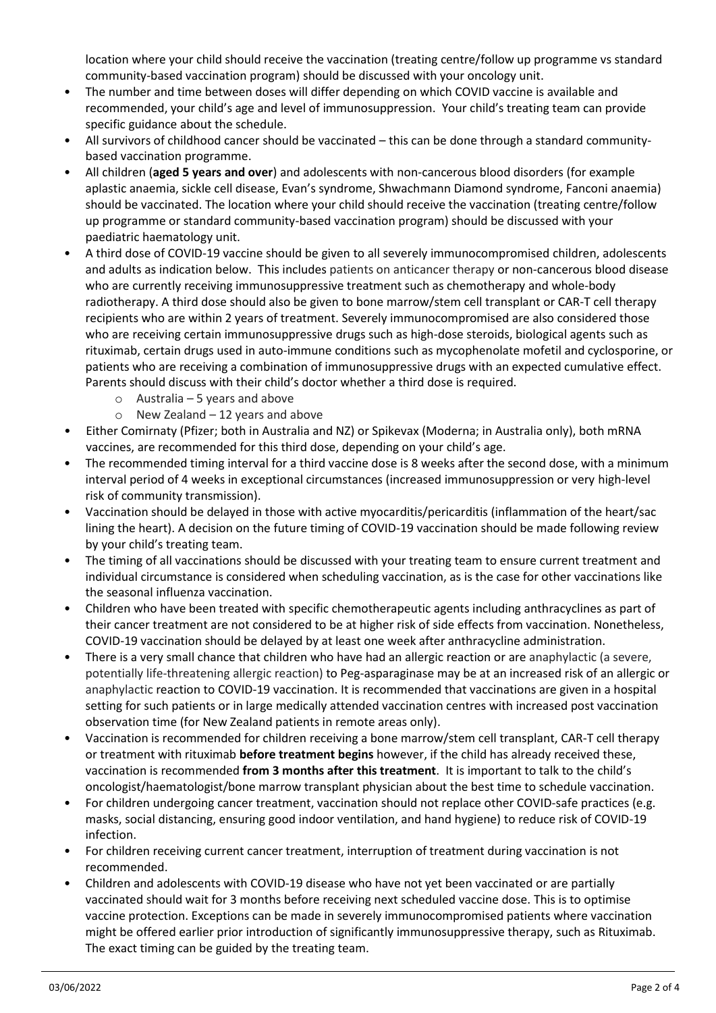location where your child should receive the vaccination (treating centre/follow up programme vs standard community-based vaccination program) should be discussed with your oncology unit.

- The number and time between doses will differ depending on which COVID vaccine is available and recommended, your child's age and level of immunosuppression. Your child's treating team can provide specific guidance about the schedule.
- All survivors of childhood cancer should be vaccinated this can be done through a standard communitybased vaccination programme.
- All children (**aged 5 years and over**) and adolescents with non-cancerous blood disorders (for example aplastic anaemia, sickle cell disease, Evan's syndrome, Shwachmann Diamond syndrome, Fanconi anaemia) should be vaccinated. The location where your child should receive the vaccination (treating centre/follow up programme or standard community-based vaccination program) should be discussed with your paediatric haematology unit.
- A third dose of COVID-19 vaccine should be given to all severely immunocompromised children, adolescents and adults as indication below. This includes patients on anticancer therapy or non-cancerous blood disease who are currently receiving immunosuppressive treatment such as chemotherapy and whole-body radiotherapy. A third dose should also be given to bone marrow/stem cell transplant or CAR-T cell therapy recipients who are within 2 years of treatment. Severely immunocompromised are also considered those who are receiving certain immunosuppressive drugs such as high-dose steroids, biological agents such as rituximab, certain drugs used in auto-immune conditions such as mycophenolate mofetil and cyclosporine, or patients who are receiving a combination of immunosuppressive drugs with an expected cumulative effect. Parents should discuss with their child's doctor whether a third dose is required.
	- o Australia 5 years and above
	- $\circ$  New Zealand 12 years and above
- Either Comirnaty (Pfizer; both in Australia and NZ) or Spikevax (Moderna; in Australia only), both mRNA vaccines, are recommended for this third dose, depending on your child's age.
- The recommended timing interval for a third vaccine dose is 8 weeks after the second dose, with a minimum interval period of 4 weeks in exceptional circumstances (increased immunosuppression or very high-level risk of community transmission).
- Vaccination should be delayed in those with active myocarditis/pericarditis (inflammation of the heart/sac lining the heart). A decision on the future timing of COVID-19 vaccination should be made following review by your child's treating team.
- The timing of all vaccinations should be discussed with your treating team to ensure current treatment and individual circumstance is considered when scheduling vaccination, as is the case for other vaccinations like the seasonal influenza vaccination.
- Children who have been treated with specific chemotherapeutic agents including anthracyclines as part of their cancer treatment are not considered to be at higher risk of side effects from vaccination. Nonetheless, COVID-19 vaccination should be delayed by at least one week after anthracycline administration.
- There is a very small chance that children who have had an allergic reaction or are anaphylactic (a severe, potentially life-threatening allergic reaction) to Peg-asparaginase may be at an increased risk of an allergic or anaphylactic reaction to COVID-19 vaccination. It is recommended that vaccinations are given in a hospital setting for such patients or in large medically attended vaccination centres with increased post vaccination observation time (for New Zealand patients in remote areas only).
- Vaccination is recommended for children receiving a bone marrow/stem cell transplant, CAR-T cell therapy or treatment with rituximab **before treatment begins** however, if the child has already received these, vaccination is recommended **from 3 months after this treatment**. It is important to talk to the child's oncologist/haematologist/bone marrow transplant physician about the best time to schedule vaccination.
- For children undergoing cancer treatment, vaccination should not replace other COVID-safe practices (e.g. masks, social distancing, ensuring good indoor ventilation, and hand hygiene) to reduce risk of COVID-19 infection.
- For children receiving current cancer treatment, interruption of treatment during vaccination is not recommended.
- Children and adolescents with COVID-19 disease who have not yet been vaccinated or are partially vaccinated should wait for 3 months before receiving next scheduled vaccine dose. This is to optimise vaccine protection. Exceptions can be made in severely immunocompromised patients where vaccination might be offered earlier prior introduction of significantly immunosuppressive therapy, such as Rituximab. The exact timing can be guided by the treating team.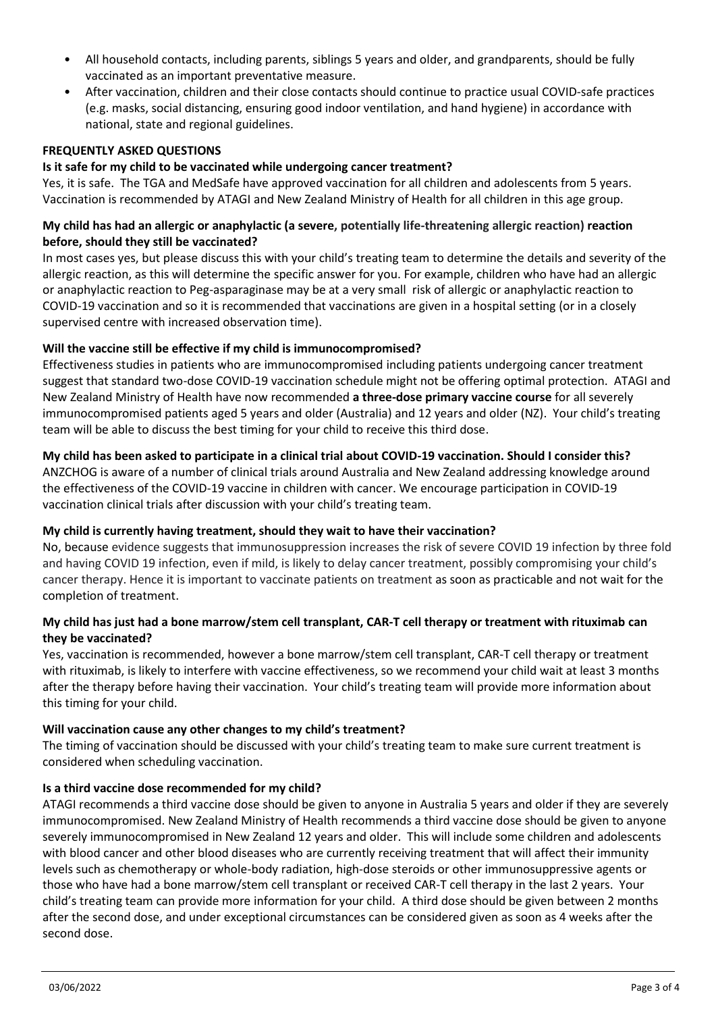- All household contacts, including parents, siblings 5 years and older, and grandparents, should be fully vaccinated as an important preventative measure.
- After vaccination, children and their close contacts should continue to practice usual COVID-safe practices (e.g. masks, social distancing, ensuring good indoor ventilation, and hand hygiene) in accordance with national, state and regional guidelines.

## **FREQUENTLY ASKED QUESTIONS**

### **Is it safe for my child to be vaccinated while undergoing cancer treatment?**

Yes, it is safe. The TGA and MedSafe have approved vaccination for all children and adolescents from 5 years. Vaccination is recommended by ATAGI and New Zealand Ministry of Health for all children in this age group.

## **My child has had an allergic or anaphylactic (a severe, potentially life-threatening allergic reaction) reaction before, should they still be vaccinated?**

In most cases yes, but please discuss this with your child's treating team to determine the details and severity of the allergic reaction, as this will determine the specific answer for you. For example, children who have had an allergic or anaphylactic reaction to Peg-asparaginase may be at a very small risk of allergic or anaphylactic reaction to COVID-19 vaccination and so it is recommended that vaccinations are given in a hospital setting (or in a closely supervised centre with increased observation time).

## **Will the vaccine still be effective if my child is immunocompromised?**

Effectiveness studies in patients who are immunocompromised including patients undergoing cancer treatment suggest that standard two-dose COVID-19 vaccination schedule might not be offering optimal protection. ATAGI and New Zealand Ministry of Health have now recommended **a three-dose primary vaccine course** for all severely immunocompromised patients aged 5 years and older (Australia) and 12 years and older (NZ). Your child's treating team will be able to discuss the best timing for your child to receive this third dose.

## **My child has been asked to participate in a clinical trial about COVID-19 vaccination. Should I consider this?**

ANZCHOG is aware of a number of clinical trials around Australia and New Zealand addressing knowledge around the effectiveness of the COVID-19 vaccine in children with cancer. We encourage participation in COVID-19 vaccination clinical trials after discussion with your child's treating team.

#### **My child is currently having treatment, should they wait to have their vaccination?**

No, because evidence suggests that immunosuppression increases the risk of severe COVID 19 infection by three fold and having COVID 19 infection, even if mild, is likely to delay cancer treatment, possibly compromising your child's cancer therapy. Hence it is important to vaccinate patients on treatment as soon as practicable and not wait for the completion of treatment.

## **My child has just had a bone marrow/stem cell transplant, CAR-T cell therapy or treatment with rituximab can they be vaccinated?**

Yes, vaccination is recommended, however a bone marrow/stem cell transplant, CAR-T cell therapy or treatment with rituximab, is likely to interfere with vaccine effectiveness, so we recommend your child wait at least 3 months after the therapy before having their vaccination. Your child's treating team will provide more information about this timing for your child.

#### **Will vaccination cause any other changes to my child's treatment?**

The timing of vaccination should be discussed with your child's treating team to make sure current treatment is considered when scheduling vaccination.

#### **Is a third vaccine dose recommended for my child?**

ATAGI recommends a third vaccine dose should be given to anyone in Australia 5 years and older if they are severely immunocompromised. New Zealand Ministry of Health recommends a third vaccine dose should be given to anyone severely immunocompromised in New Zealand 12 years and older. This will include some children and adolescents with blood cancer and other blood diseases who are currently receiving treatment that will affect their immunity levels such as chemotherapy or whole-body radiation, high-dose steroids or other immunosuppressive agents or those who have had a bone marrow/stem cell transplant or received CAR-T cell therapy in the last 2 years. Your child's treating team can provide more information for your child. A third dose should be given between 2 months after the second dose, and under exceptional circumstances can be considered given as soon as 4 weeks after the second dose.